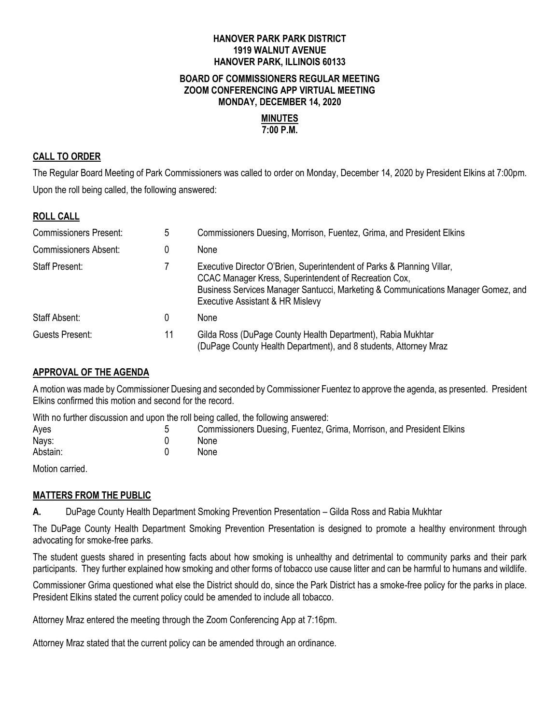## **HANOVER PARK PARK DISTRICT 1919 WALNUT AVENUE HANOVER PARK, ILLINOIS 60133**

### **BOARD OF COMMISSIONERS REGULAR MEETING ZOOM CONFERENCING APP VIRTUAL MEETING MONDAY, DECEMBER 14, 2020**

#### **MINUTES 7:00 P.M.**

## **CALL TO ORDER**

The Regular Board Meeting of Park Commissioners was called to order on Monday, December 14, 2020 by President Elkins at 7:00pm. Upon the roll being called, the following answered:

### **ROLL CALL**

| <b>Commissioners Present:</b> | 5  | Commissioners Duesing, Morrison, Fuentez, Grima, and President Elkins                                                                                                                                                                                    |
|-------------------------------|----|----------------------------------------------------------------------------------------------------------------------------------------------------------------------------------------------------------------------------------------------------------|
| <b>Commissioners Absent:</b>  | 0  | None                                                                                                                                                                                                                                                     |
| <b>Staff Present:</b>         |    | Executive Director O'Brien, Superintendent of Parks & Planning Villar,<br>CCAC Manager Kress, Superintendent of Recreation Cox,<br>Business Services Manager Santucci, Marketing & Communications Manager Gomez, and<br>Executive Assistant & HR Mislevy |
| Staff Absent:                 | 0  | None                                                                                                                                                                                                                                                     |
| Guests Present:               | 11 | Gilda Ross (DuPage County Health Department), Rabia Mukhtar<br>(DuPage County Health Department), and 8 students, Attorney Mraz                                                                                                                          |

## **APPROVAL OF THE AGENDA**

A motion was made by Commissioner Duesing and seconded by Commissioner Fuentez to approve the agenda, as presented. President Elkins confirmed this motion and second for the record.

With no further discussion and upon the roll being called, the following answered:

| Ayes<br>Nays: | Commissioners Duesing, Fuentez, Grima, Morrison, and President Elkins<br>None |
|---------------|-------------------------------------------------------------------------------|
| Abstain:      | None                                                                          |
| ----          |                                                                               |

Motion carried.

### **MATTERS FROM THE PUBLIC**

**A.** DuPage County Health Department Smoking Prevention Presentation – Gilda Ross and Rabia Mukhtar

The DuPage County Health Department Smoking Prevention Presentation is designed to promote a healthy environment through advocating for smoke-free parks.

The student guests shared in presenting facts about how smoking is unhealthy and detrimental to community parks and their park participants. They further explained how smoking and other forms of tobacco use cause litter and can be harmful to humans and wildlife.

Commissioner Grima questioned what else the District should do, since the Park District has a smoke-free policy for the parks in place. President Elkins stated the current policy could be amended to include all tobacco.

Attorney Mraz entered the meeting through the Zoom Conferencing App at 7:16pm.

Attorney Mraz stated that the current policy can be amended through an ordinance.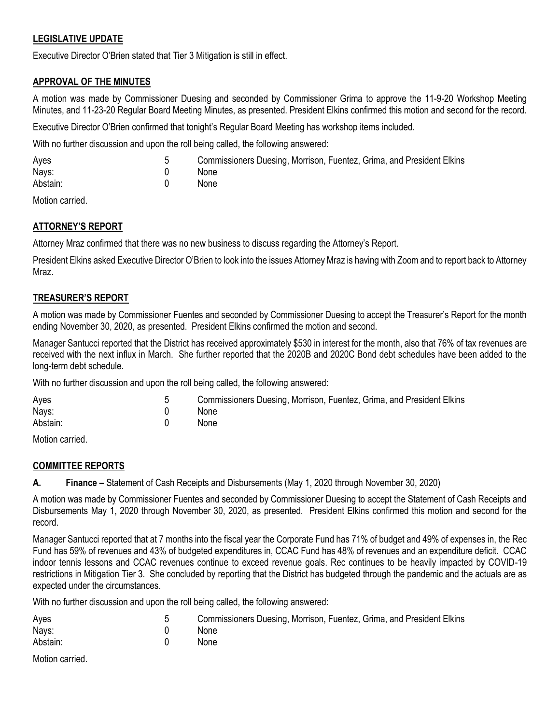## **LEGISLATIVE UPDATE**

Executive Director O'Brien stated that Tier 3 Mitigation is still in effect.

## **APPROVAL OF THE MINUTES**

A motion was made by Commissioner Duesing and seconded by Commissioner Grima to approve the 11-9-20 Workshop Meeting Minutes, and 11-23-20 Regular Board Meeting Minutes, as presented. President Elkins confirmed this motion and second for the record.

Executive Director O'Brien confirmed that tonight's Regular Board Meeting has workshop items included.

With no further discussion and upon the roll being called, the following answered:

| Ayes     | Commissioners Duesing, Morrison, Fuentez, Grima, and President Elkins |
|----------|-----------------------------------------------------------------------|
| Nays:    | <b>None</b>                                                           |
| Abstain: | <b>None</b>                                                           |

Motion carried.

## **ATTORNEY'S REPORT**

Attorney Mraz confirmed that there was no new business to discuss regarding the Attorney's Report.

President Elkins asked Executive Director O'Brien to look into the issues Attorney Mraz is having with Zoom and to report back to Attorney Mraz.

## **TREASURER'S REPORT**

A motion was made by Commissioner Fuentes and seconded by Commissioner Duesing to accept the Treasurer's Report for the month ending November 30, 2020, as presented. President Elkins confirmed the motion and second.

Manager Santucci reported that the District has received approximately \$530 in interest for the month, also that 76% of tax revenues are received with the next influx in March. She further reported that the 2020B and 2020C Bond debt schedules have been added to the long-term debt schedule.

With no further discussion and upon the roll being called, the following answered:

| Ayes     | Commissioners Duesing, Morrison, Fuentez, Grima, and President Elkins |
|----------|-----------------------------------------------------------------------|
| Nays:    | <b>None</b>                                                           |
| Abstain: | <b>None</b>                                                           |
|          |                                                                       |

Motion carried.

## **COMMITTEE REPORTS**

**A. Finance –** Statement of Cash Receipts and Disbursements (May 1, 2020 through November 30, 2020)

A motion was made by Commissioner Fuentes and seconded by Commissioner Duesing to accept the Statement of Cash Receipts and Disbursements May 1, 2020 through November 30, 2020, as presented. President Elkins confirmed this motion and second for the record.

Manager Santucci reported that at 7 months into the fiscal year the Corporate Fund has 71% of budget and 49% of expenses in, the Rec Fund has 59% of revenues and 43% of budgeted expenditures in, CCAC Fund has 48% of revenues and an expenditure deficit. CCAC indoor tennis lessons and CCAC revenues continue to exceed revenue goals. Rec continues to be heavily impacted by COVID-19 restrictions in Mitigation Tier 3. She concluded by reporting that the District has budgeted through the pandemic and the actuals are as expected under the circumstances.

With no further discussion and upon the roll being called, the following answered:

| Ayes     | Commissioners Duesing, Morrison, Fuentez, Grima, and President Elkins |
|----------|-----------------------------------------------------------------------|
| Nays:    | None                                                                  |
| Abstain: | None                                                                  |
|          |                                                                       |

Motion carried.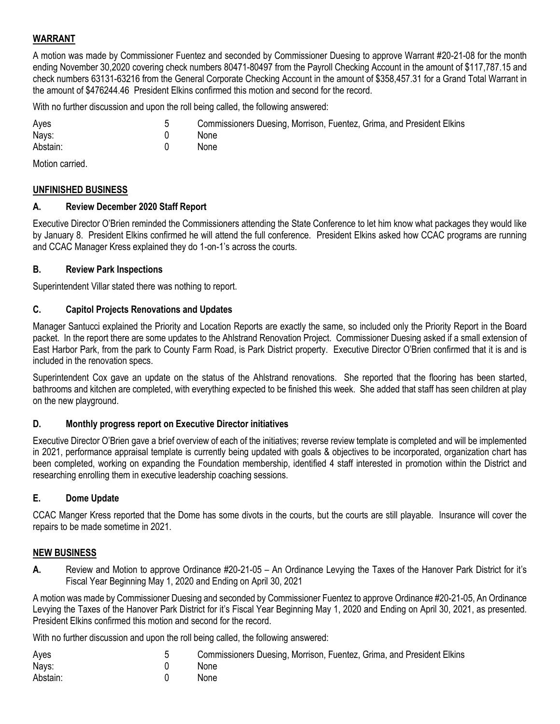## **WARRANT**

A motion was made by Commissioner Fuentez and seconded by Commissioner Duesing to approve Warrant #20-21-08 for the month ending November 30,2020 covering check numbers 80471-80497 from the Payroll Checking Account in the amount of \$117,787.15 and check numbers 63131-63216 from the General Corporate Checking Account in the amount of \$358,457.31 for a Grand Total Warrant in the amount of \$476244.46 President Elkins confirmed this motion and second for the record.

Commissioners Duesing, Morrison, Fuentez, Grima, and President Elkins

With no further discussion and upon the roll being called, the following answered:

| Ayes     | 5 | Comr |
|----------|---|------|
| Nays:    |   | None |
| Abstain: |   | None |

Motion carried.

### **UNFINISHED BUSINESS**

## **A. Review December 2020 Staff Report**

Executive Director O'Brien reminded the Commissioners attending the State Conference to let him know what packages they would like by January 8. President Elkins confirmed he will attend the full conference. President Elkins asked how CCAC programs are running and CCAC Manager Kress explained they do 1-on-1's across the courts.

### **B. Review Park Inspections**

Superintendent Villar stated there was nothing to report.

### **C. Capitol Projects Renovations and Updates**

Manager Santucci explained the Priority and Location Reports are exactly the same, so included only the Priority Report in the Board packet. In the report there are some updates to the Ahlstrand Renovation Project. Commissioner Duesing asked if a small extension of East Harbor Park, from the park to County Farm Road, is Park District property.Executive Director O'Brien confirmed that it is and is included in the renovation specs.

Superintendent Cox gave an update on the status of the Ahlstrand renovations. She reported that the flooring has been started, bathrooms and kitchen are completed, with everything expected to be finished this week. She added that staff has seen children at play on the new playground.

### **D. Monthly progress report on Executive Director initiatives**

Executive Director O'Brien gave a brief overview of each of the initiatives; reverse review template is completed and will be implemented in 2021, performance appraisal template is currently being updated with goals & objectives to be incorporated, organization chart has been completed, working on expanding the Foundation membership, identified 4 staff interested in promotion within the District and researching enrolling them in executive leadership coaching sessions.

## **E. Dome Update**

CCAC Manger Kress reported that the Dome has some divots in the courts, but the courts are still playable. Insurance will cover the repairs to be made sometime in 2021.

## **NEW BUSINESS**

**A.** Review and Motion to approve Ordinance #20-21-05 – An Ordinance Levying the Taxes of the Hanover Park District for it's Fiscal Year Beginning May 1, 2020 and Ending on April 30, 2021

A motion was made by Commissioner Duesing and seconded by Commissioner Fuentez to approve Ordinance #20-21-05, An Ordinance Levying the Taxes of the Hanover Park District for it's Fiscal Year Beginning May 1, 2020 and Ending on April 30, 2021, as presented. President Elkins confirmed this motion and second for the record.

With no further discussion and upon the roll being called, the following answered:

| Ayes     | Commissioners Duesing, Morrison, Fuentez, Grima, and President Elkins |
|----------|-----------------------------------------------------------------------|
| Nays:    | <b>None</b>                                                           |
| Abstain: | <b>None</b>                                                           |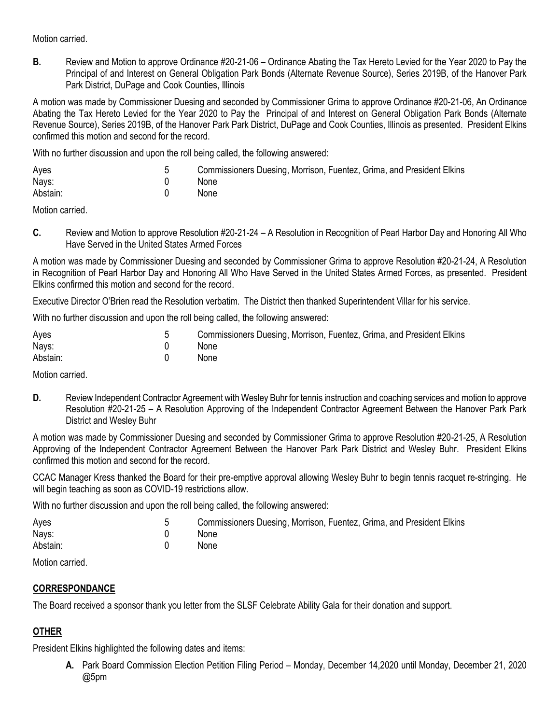Motion carried.

**B.** Review and Motion to approve Ordinance #20-21-06 – Ordinance Abating the Tax Hereto Levied for the Year 2020 to Pay the Principal of and Interest on General Obligation Park Bonds (Alternate Revenue Source), Series 2019B, of the Hanover Park Park District, DuPage and Cook Counties, Illinois

A motion was made by Commissioner Duesing and seconded by Commissioner Grima to approve Ordinance #20-21-06, An Ordinance Abating the Tax Hereto Levied for the Year 2020 to Pay the Principal of and Interest on General Obligation Park Bonds (Alternate Revenue Source), Series 2019B, of the Hanover Park Park District, DuPage and Cook Counties, Illinois as presented. President Elkins confirmed this motion and second for the record.

With no further discussion and upon the roll being called, the following answered:

| Ayes     | Commissioners Duesing, Morrison, Fuentez, Grima, and President Elkins |
|----------|-----------------------------------------------------------------------|
| Nays:    | <b>None</b>                                                           |
| Abstain: | <b>None</b>                                                           |

Motion carried.

**C.** Review and Motion to approve Resolution #20-21-24 – A Resolution in Recognition of Pearl Harbor Day and Honoring All Who Have Served in the United States Armed Forces

A motion was made by Commissioner Duesing and seconded by Commissioner Grima to approve Resolution #20-21-24, A Resolution in Recognition of Pearl Harbor Day and Honoring All Who Have Served in the United States Armed Forces, as presented. President Elkins confirmed this motion and second for the record.

Executive Director O'Brien read the Resolution verbatim. The District then thanked Superintendent Villar for his service.

With no further discussion and upon the roll being called, the following answered:

| Ayes     | Commissioners Duesing, Morrison, Fuentez, Grima, and President Elkins |
|----------|-----------------------------------------------------------------------|
| Nays:    | None                                                                  |
| Abstain: | None                                                                  |

Motion carried.

**D.** Review Independent Contractor Agreement with Wesley Buhr for tennis instruction and coaching services and motion to approve Resolution #20-21-25 – A Resolution Approving of the Independent Contractor Agreement Between the Hanover Park Park District and Wesley Buhr

A motion was made by Commissioner Duesing and seconded by Commissioner Grima to approve Resolution #20-21-25, A Resolution Approving of the Independent Contractor Agreement Between the Hanover Park Park District and Wesley Buhr. President Elkins confirmed this motion and second for the record.

CCAC Manager Kress thanked the Board for their pre-emptive approval allowing Wesley Buhr to begin tennis racquet re-stringing. He will begin teaching as soon as COVID-19 restrictions allow.

With no further discussion and upon the roll being called, the following answered:

| Aves     | Commissioners Duesing, Morrison, Fuentez, Grima, and President Elkins |
|----------|-----------------------------------------------------------------------|
| Nays:    | <b>None</b>                                                           |
| Abstain: | <b>None</b>                                                           |

Motion carried.

## **CORRESPONDANCE**

The Board received a sponsor thank you letter from the SLSF Celebrate Ability Gala for their donation and support.

# **OTHER**

President Elkins highlighted the following dates and items:

**A.** Park Board Commission Election Petition Filing Period – Monday, December 14,2020 until Monday, December 21, 2020 @5pm